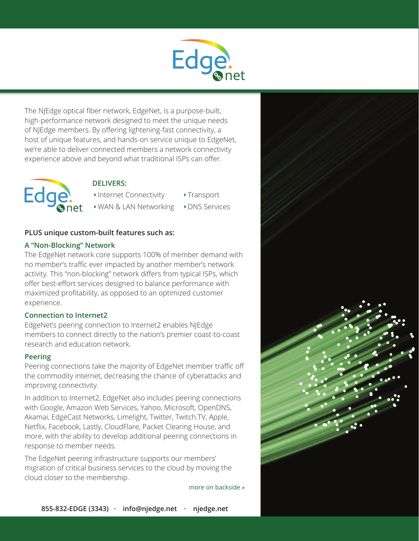

The NJEdge optical fiber network, EdgeNet, is a purpose-built, high-performance network designed to meet the unique needs of NJEdge members. By offering lightening-fast connectivity, a host of unique features, and hands-on service unique to EdgeNet, we're able to deliver connected members a network connectivity experience above and beyond what traditional ISPs can offer.



## **DELIVERS:**

- Internet Connectivity Transport
- WAN & LAN Networking
- **DNS** Services

# **PLUS unique custom-built features such as:**

#### **A "Non-Blocking" Network**

The EdgeNet network core supports 100% of member demand with no member's traffic ever impacted by another member's network activity. This "non-blocking" network differs from typical ISPs, which offer best-effort services designed to balance performance with maximized profitability, as opposed to an optimized customer experience.

## **Connection to Internet2**

EdgeNet's peering connection to Internet2 enables NJEdge members to connect directly to the nation's premier coast-to-coast research and education network.

## **Peering**

Peering connections take the majority of EdgeNet member traffic off the commodity internet, decreasing the chance of cyberattacks and improving connectivity.

In addition to Internet2, EdgeNet also includes peering connections with Google, Amazon Web Services, Yahoo, Microsoft, OpenDNS, Akamai, EdgeCast Networks, Limelight, Twitter, Twitch.TV, Apple, Netflix, Facebook, Lastly, CloudFlare, Packet Clearing House, and more, with the ability to develop additional peering connections in response to member needs.

The EdgeNet peering infrastructure supports our members' migration of critical business services to the cloud by moving the cloud closer to the membership.

more on backside »